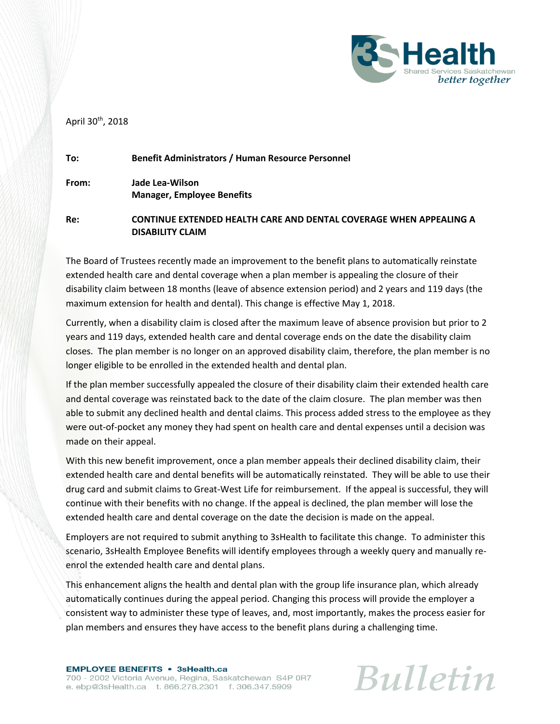

April 30<sup>th</sup>, 2018

| To:   | <b>Benefit Administrators / Human Resource Personnel</b>                                             |
|-------|------------------------------------------------------------------------------------------------------|
| From: | Jade Lea-Wilson<br><b>Manager, Employee Benefits</b>                                                 |
| Re:   | <b>CONTINUE EXTENDED HEALTH CARE AND DENTAL COVERAGE WHEN APPEALING A</b><br><b>DISABILITY CLAIM</b> |

The Board of Trustees recently made an improvement to the benefit plans to automatically reinstate extended health care and dental coverage when a plan member is appealing the closure of their disability claim between 18 months (leave of absence extension period) and 2 years and 119 days (the maximum extension for health and dental). This change is effective May 1, 2018.

Currently, when a disability claim is closed after the maximum leave of absence provision but prior to 2 years and 119 days, extended health care and dental coverage ends on the date the disability claim closes. The plan member is no longer on an approved disability claim, therefore, the plan member is no longer eligible to be enrolled in the extended health and dental plan.

If the plan member successfully appealed the closure of their disability claim their extended health care and dental coverage was reinstated back to the date of the claim closure. The plan member was then able to submit any declined health and dental claims. This process added stress to the employee as they were out-of-pocket any money they had spent on health care and dental expenses until a decision was made on their appeal.

With this new benefit improvement, once a plan member appeals their declined disability claim, their extended health care and dental benefits will be automatically reinstated. They will be able to use their drug card and submit claims to Great-West Life for reimbursement. If the appeal is successful, they will continue with their benefits with no change. If the appeal is declined, the plan member will lose the extended health care and dental coverage on the date the decision is made on the appeal.

Employers are not required to submit anything to 3sHealth to facilitate this change. To administer this scenario, 3sHealth Employee Benefits will identify employees through a weekly query and manually reenrol the extended health care and dental plans.

This enhancement aligns the health and dental plan with the group life insurance plan, which already automatically continues during the appeal period. Changing this process will provide the employer a consistent way to administer these type of leaves, and, most importantly, makes the process easier for plan members and ensures they have access to the benefit plans during a challenging time.